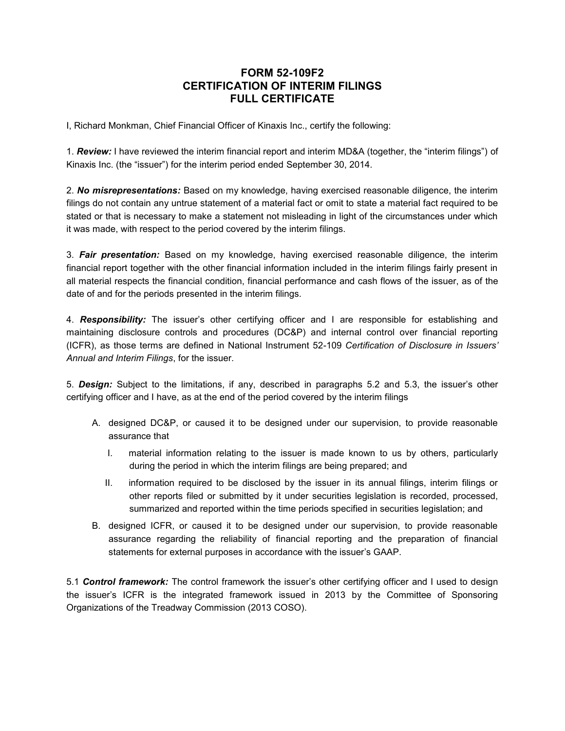## **FORM 52-109F2 CERTIFICATION OF INTERIM FILINGS FULL CERTIFICATE**

I, Richard Monkman, Chief Financial Officer of Kinaxis Inc., certify the following:

1. *Review:* I have reviewed the interim financial report and interim MD&A (together, the "interim filings") of Kinaxis Inc. (the "issuer") for the interim period ended September 30, 2014.

2. *No misrepresentations:* Based on my knowledge, having exercised reasonable diligence, the interim filings do not contain any untrue statement of a material fact or omit to state a material fact required to be stated or that is necessary to make a statement not misleading in light of the circumstances under which it was made, with respect to the period covered by the interim filings.

3. *Fair presentation:* Based on my knowledge, having exercised reasonable diligence, the interim financial report together with the other financial information included in the interim filings fairly present in all material respects the financial condition, financial performance and cash flows of the issuer, as of the date of and for the periods presented in the interim filings.

4. *Responsibility:* The issuer's other certifying officer and I are responsible for establishing and maintaining disclosure controls and procedures (DC&P) and internal control over financial reporting (ICFR), as those terms are defined in National Instrument 52-109 *Certification of Disclosure in Issuers' Annual and Interim Filings*, for the issuer.

5. *Design:* Subject to the limitations, if any, described in paragraphs 5.2 and 5.3, the issuer's other certifying officer and I have, as at the end of the period covered by the interim filings

- A. designed DC&P, or caused it to be designed under our supervision, to provide reasonable assurance that
	- I. material information relating to the issuer is made known to us by others, particularly during the period in which the interim filings are being prepared; and
	- II. information required to be disclosed by the issuer in its annual filings, interim filings or other reports filed or submitted by it under securities legislation is recorded, processed, summarized and reported within the time periods specified in securities legislation; and
- B. designed ICFR, or caused it to be designed under our supervision, to provide reasonable assurance regarding the reliability of financial reporting and the preparation of financial statements for external purposes in accordance with the issuer's GAAP.

5.1 *Control framework:* The control framework the issuer's other certifying officer and I used to design the issuer's ICFR is the integrated framework issued in 2013 by the Committee of Sponsoring Organizations of the Treadway Commission (2013 COSO).